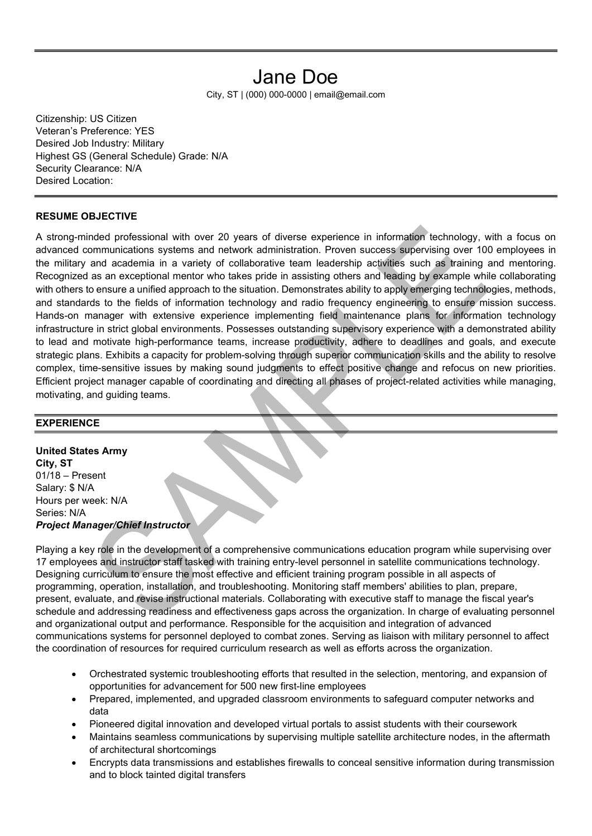# Jane Doe

City, ST | (000) 000-0000 | email@email.com

Citizenship: US Citizen Veteran's Preference: YES Desired Job Industry: Military Highest GS (General Schedule) Grade: N/A Security Clearance: N/A Desired Location:

#### RESUME OBJECTIVE

A strong-minded professional with over 20 years of diverse experience in information technology, with a focus on advanced communications systems and network administration. Proven success supervising over 100 employees in the military and academia in a variety of collaborative team leadership activities such as training and mentoring. Recognized as an exceptional mentor who takes pride in assisting others and leading by example while collaborating with others to ensure a unified approach to the situation. Demonstrates ability to apply emerging technologies, methods, and standards to the fields of information technology and radio frequency engineering to ensure mission success. Hands-on manager with extensive experience implementing field maintenance plans for information technology infrastructure in strict global environments. Possesses outstanding supervisory experience with a demonstrated ability to lead and motivate high-performance teams, increase productivity, adhere to deadlines and goals, and execute strategic plans. Exhibits a capacity for problem-solving through superior communication skills and the ability to resolve complex, time-sensitive issues by making sound judgments to effect positive change and refocus on new priorities. Efficient project manager capable of coordinating and directing all phases of project-related activities while managing, motivating, and guiding teams.

#### **EXPERIENCE**

United States Army City, ST 01/18 – Present Salary: \$ N/A Hours per week: N/A Series: N/A Project Manager/Chief Instructor

Playing a key role in the development of a comprehensive communications education program while supervising over 17 employees and instructor staff tasked with training entry-level personnel in satellite communications technology. Designing curriculum to ensure the most effective and efficient training program possible in all aspects of programming, operation, installation, and troubleshooting. Monitoring staff members' abilities to plan, prepare, present, evaluate, and revise instructional materials. Collaborating with executive staff to manage the fiscal year's schedule and addressing readiness and effectiveness gaps across the organization. In charge of evaluating personnel and organizational output and performance. Responsible for the acquisition and integration of advanced communications systems for personnel deployed to combat zones. Serving as liaison with military personnel to affect the coordination of resources for required curriculum research as well as efforts across the organization.

- Orchestrated systemic troubleshooting efforts that resulted in the selection, mentoring, and expansion of opportunities for advancement for 500 new first-line employees
- Prepared, implemented, and upgraded classroom environments to safeguard computer networks and data
- Pioneered digital innovation and developed virtual portals to assist students with their coursework
- Maintains seamless communications by supervising multiple satellite architecture nodes, in the aftermath of architectural shortcomings
- Encrypts data transmissions and establishes firewalls to conceal sensitive information during transmission and to block tainted digital transfers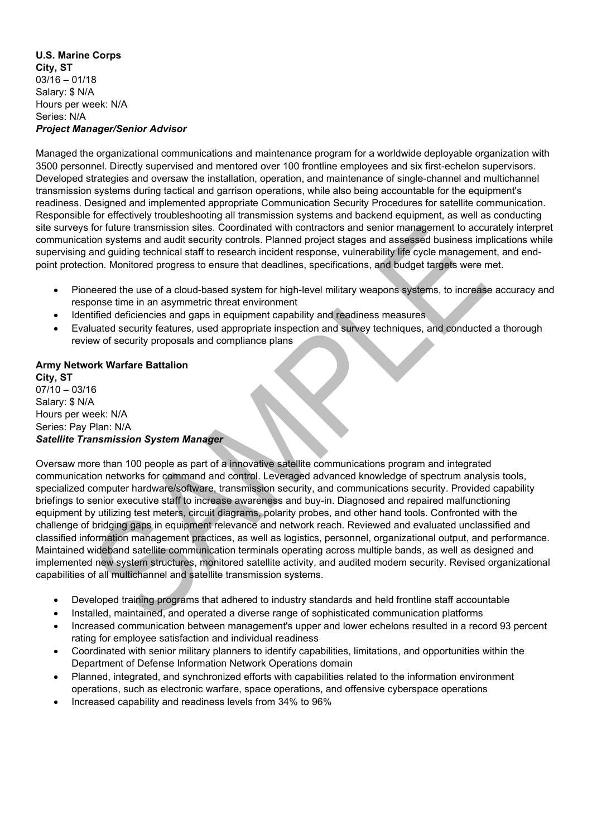#### U.S. Marine Corps City, ST  $03/16 - 01/18$ Salary: \$ N/A Hours per week: N/A Series: N/A Project Manager/Senior Advisor

Managed the organizational communications and maintenance program for a worldwide deployable organization with 3500 personnel. Directly supervised and mentored over 100 frontline employees and six first-echelon supervisors. Developed strategies and oversaw the installation, operation, and maintenance of single-channel and multichannel transmission systems during tactical and garrison operations, while also being accountable for the equipment's readiness. Designed and implemented appropriate Communication Security Procedures for satellite communication. Responsible for effectively troubleshooting all transmission systems and backend equipment, as well as conducting site surveys for future transmission sites. Coordinated with contractors and senior management to accurately interpret communication systems and audit security controls. Planned project stages and assessed business implications while supervising and guiding technical staff to research incident response, vulnerability life cycle management, and endpoint protection. Monitored progress to ensure that deadlines, specifications, and budget targets were met.

- Pioneered the use of a cloud-based system for high-level military weapons systems, to increase accuracy and response time in an asymmetric threat environment
- Identified deficiencies and gaps in equipment capability and readiness measures
- Evaluated security features, used appropriate inspection and survey techniques, and conducted a thorough review of security proposals and compliance plans

#### Army Network Warfare Battalion City, ST 07/10 – 03/16 Salary: \$ N/A Hours per week: N/A Series: Pay Plan: N/A

## Satellite Transmission System Manager

Oversaw more than 100 people as part of a innovative satellite communications program and integrated communication networks for command and control. Leveraged advanced knowledge of spectrum analysis tools, specialized computer hardware/software, transmission security, and communications security. Provided capability briefings to senior executive staff to increase awareness and buy-in. Diagnosed and repaired malfunctioning equipment by utilizing test meters, circuit diagrams, polarity probes, and other hand tools. Confronted with the challenge of bridging gaps in equipment relevance and network reach. Reviewed and evaluated unclassified and classified information management practices, as well as logistics, personnel, organizational output, and performance. Maintained wideband satellite communication terminals operating across multiple bands, as well as designed and implemented new system structures, monitored satellite activity, and audited modem security. Revised organizational capabilities of all multichannel and satellite transmission systems.

- Developed training programs that adhered to industry standards and held frontline staff accountable
- Installed, maintained, and operated a diverse range of sophisticated communication platforms
- Increased communication between management's upper and lower echelons resulted in a record 93 percent rating for employee satisfaction and individual readiness
- Coordinated with senior military planners to identify capabilities, limitations, and opportunities within the Department of Defense Information Network Operations domain
- Planned, integrated, and synchronized efforts with capabilities related to the information environment operations, such as electronic warfare, space operations, and offensive cyberspace operations
- Increased capability and readiness levels from 34% to 96%